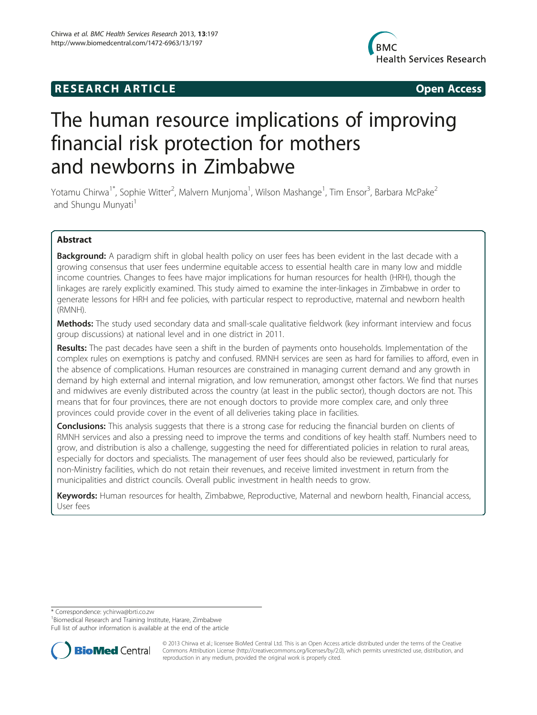## **RESEARCH ARTICLE CONSUMING A RESEARCH ARTICLE**



# The human resource implications of improving financial risk protection for mothers and newborns in Zimbabwe

Yotamu Chirwa<sup>1\*</sup>, Sophie Witter<sup>2</sup>, Malvern Munjoma<sup>1</sup>, Wilson Mashange<sup>1</sup>, Tim Ensor<sup>3</sup>, Barbara McPake<sup>2</sup> and Shungu Munyati<sup>1</sup>

## Abstract

Background: A paradigm shift in global health policy on user fees has been evident in the last decade with a growing consensus that user fees undermine equitable access to essential health care in many low and middle income countries. Changes to fees have major implications for human resources for health (HRH), though the linkages are rarely explicitly examined. This study aimed to examine the inter-linkages in Zimbabwe in order to generate lessons for HRH and fee policies, with particular respect to reproductive, maternal and newborn health (RMNH).

Methods: The study used secondary data and small-scale qualitative fieldwork (key informant interview and focus group discussions) at national level and in one district in 2011.

Results: The past decades have seen a shift in the burden of payments onto households. Implementation of the complex rules on exemptions is patchy and confused. RMNH services are seen as hard for families to afford, even in the absence of complications. Human resources are constrained in managing current demand and any growth in demand by high external and internal migration, and low remuneration, amongst other factors. We find that nurses and midwives are evenly distributed across the country (at least in the public sector), though doctors are not. This means that for four provinces, there are not enough doctors to provide more complex care, and only three provinces could provide cover in the event of all deliveries taking place in facilities.

Conclusions: This analysis suggests that there is a strong case for reducing the financial burden on clients of RMNH services and also a pressing need to improve the terms and conditions of key health staff. Numbers need to grow, and distribution is also a challenge, suggesting the need for differentiated policies in relation to rural areas, especially for doctors and specialists. The management of user fees should also be reviewed, particularly for non-Ministry facilities, which do not retain their revenues, and receive limited investment in return from the municipalities and district councils. Overall public investment in health needs to grow.

Keywords: Human resources for health, Zimbabwe, Reproductive, Maternal and newborn health, Financial access, User fees

\* Correspondence: [ychirwa@brti.co.zw](mailto:ychirwa@brti.co.zw) <sup>1</sup>

<sup>1</sup> Biomedical Research and Training Institute, Harare, Zimbabwe Full list of author information is available at the end of the article

**BioMed** Central

© 2013 Chirwa et al.; licensee BioMed Central Ltd. This is an Open Access article distributed under the terms of the Creative Commons Attribution License [\(http://creativecommons.org/licenses/by/2.0\)](http://creativecommons.org/licenses/by/2.0), which permits unrestricted use, distribution, and reproduction in any medium, provided the original work is properly cited.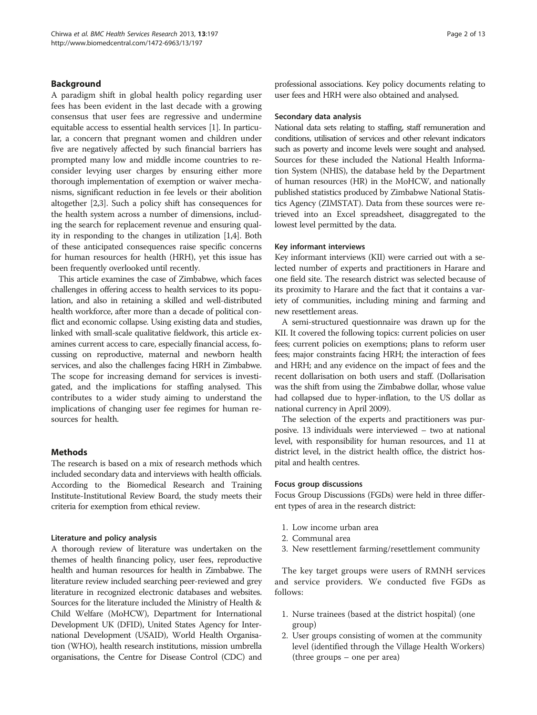## Background

A paradigm shift in global health policy regarding user fees has been evident in the last decade with a growing consensus that user fees are regressive and undermine equitable access to essential health services [[1\]](#page-11-0). In particular, a concern that pregnant women and children under five are negatively affected by such financial barriers has prompted many low and middle income countries to reconsider levying user charges by ensuring either more thorough implementation of exemption or waiver mechanisms, significant reduction in fee levels or their abolition altogether [\[2,3\]](#page-11-0). Such a policy shift has consequences for the health system across a number of dimensions, including the search for replacement revenue and ensuring quality in responding to the changes in utilization [\[1,4\]](#page-11-0). Both of these anticipated consequences raise specific concerns for human resources for health (HRH), yet this issue has been frequently overlooked until recently.

This article examines the case of Zimbabwe, which faces challenges in offering access to health services to its population, and also in retaining a skilled and well-distributed health workforce, after more than a decade of political conflict and economic collapse. Using existing data and studies, linked with small-scale qualitative fieldwork, this article examines current access to care, especially financial access, focussing on reproductive, maternal and newborn health services, and also the challenges facing HRH in Zimbabwe. The scope for increasing demand for services is investigated, and the implications for staffing analysed. This contributes to a wider study aiming to understand the implications of changing user fee regimes for human resources for health.

## **Mathods**

The research is based on a mix of research methods which included secondary data and interviews with health officials. According to the Biomedical Research and Training Institute-Institutional Review Board, the study meets their criteria for exemption from ethical review.

### Literature and policy analysis

A thorough review of literature was undertaken on the themes of health financing policy, user fees, reproductive health and human resources for health in Zimbabwe. The literature review included searching peer-reviewed and grey literature in recognized electronic databases and websites. Sources for the literature included the Ministry of Health & Child Welfare (MoHCW), Department for International Development UK (DFID), United States Agency for International Development (USAID), World Health Organisation (WHO), health research institutions, mission umbrella organisations, the Centre for Disease Control (CDC) and professional associations. Key policy documents relating to user fees and HRH were also obtained and analysed.

#### Secondary data analysis

National data sets relating to staffing, staff remuneration and conditions, utilisation of services and other relevant indicators such as poverty and income levels were sought and analysed. Sources for these included the National Health Information System (NHIS), the database held by the Department of human resources (HR) in the MoHCW, and nationally published statistics produced by Zimbabwe National Statistics Agency (ZIMSTAT). Data from these sources were retrieved into an Excel spreadsheet, disaggregated to the lowest level permitted by the data.

#### Key informant interviews

Key informant interviews (KII) were carried out with a selected number of experts and practitioners in Harare and one field site. The research district was selected because of its proximity to Harare and the fact that it contains a variety of communities, including mining and farming and new resettlement areas.

A semi-structured questionnaire was drawn up for the KII. It covered the following topics: current policies on user fees; current policies on exemptions; plans to reform user fees; major constraints facing HRH; the interaction of fees and HRH; and any evidence on the impact of fees and the recent dollarisation on both users and staff. (Dollarisation was the shift from using the Zimbabwe dollar, whose value had collapsed due to hyper-inflation, to the US dollar as national currency in April 2009).

The selection of the experts and practitioners was purposive. 13 individuals were interviewed – two at national level, with responsibility for human resources, and 11 at district level, in the district health office, the district hospital and health centres.

## Focus group discussions

Focus Group Discussions (FGDs) were held in three different types of area in the research district:

- 1. Low income urban area
- 2. Communal area
- 3. New resettlement farming/resettlement community

The key target groups were users of RMNH services and service providers. We conducted five FGDs as follows:

- 1. Nurse trainees (based at the district hospital) (one group)
- 2. User groups consisting of women at the community level (identified through the Village Health Workers) (three groups – one per area)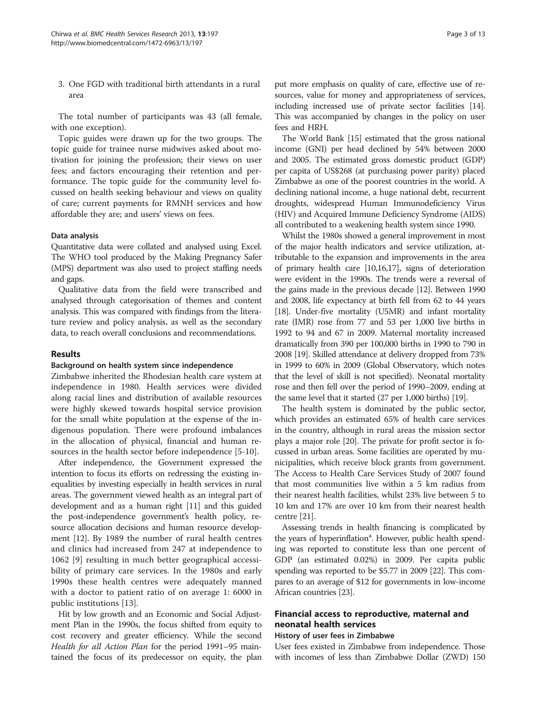3. One FGD with traditional birth attendants in a rural area

The total number of participants was 43 (all female, with one exception).

Topic guides were drawn up for the two groups. The topic guide for trainee nurse midwives asked about motivation for joining the profession; their views on user fees; and factors encouraging their retention and performance. The topic guide for the community level focussed on health seeking behaviour and views on quality of care; current payments for RMNH services and how affordable they are; and users' views on fees.

### Data analysis

Quantitative data were collated and analysed using Excel. The WHO tool produced by the Making Pregnancy Safer (MPS) department was also used to project staffing needs and gaps.

Qualitative data from the field were transcribed and analysed through categorisation of themes and content analysis. This was compared with findings from the literature review and policy analysis, as well as the secondary data, to reach overall conclusions and recommendations.

#### Results

### Background on health system since independence

Zimbabwe inherited the Rhodesian health care system at independence in 1980. Health services were divided along racial lines and distribution of available resources were highly skewed towards hospital service provision for the small white population at the expense of the indigenous population. There were profound imbalances in the allocation of physical, financial and human resources in the health sector before independence [[5-10\]](#page-11-0).

After independence, the Government expressed the intention to focus its efforts on redressing the existing inequalities by investing especially in health services in rural areas. The government viewed health as an integral part of development and as a human right [[11](#page-11-0)] and this guided the post-independence government's health policy, resource allocation decisions and human resource development [\[12\]](#page-11-0). By 1989 the number of rural health centres and clinics had increased from 247 at independence to 1062 [[9\]](#page-11-0) resulting in much better geographical accessibility of primary care services. In the 1980s and early 1990s these health centres were adequately manned with a doctor to patient ratio of on average 1: 6000 in public institutions [[13](#page-11-0)].

Hit by low growth and an Economic and Social Adjustment Plan in the 1990s, the focus shifted from equity to cost recovery and greater efficiency. While the second Health for all Action Plan for the period 1991–95 maintained the focus of its predecessor on equity, the plan

put more emphasis on quality of care, effective use of resources, value for money and appropriateness of services, including increased use of private sector facilities [[14](#page-12-0)]. This was accompanied by changes in the policy on user fees and HRH.

The World Bank [[15](#page-12-0)] estimated that the gross national income (GNI) per head declined by 54% between 2000 and 2005. The estimated gross domestic product (GDP) per capita of US\$268 (at purchasing power parity) placed Zimbabwe as one of the poorest countries in the world. A declining national income, a huge national debt, recurrent droughts, widespread Human Immunodeficiency Virus (HIV) and Acquired Immune Deficiency Syndrome (AIDS) all contributed to a weakening health system since 1990.

Whilst the 1980s showed a general improvement in most of the major health indicators and service utilization, attributable to the expansion and improvements in the area of primary health care [\[10,](#page-11-0)[16,17\]](#page-12-0), signs of deterioration were evident in the 1990s. The trends were a reversal of the gains made in the previous decade [\[12\]](#page-11-0). Between 1990 and 2008, life expectancy at birth fell from 62 to 44 years [[18](#page-12-0)]. Under-five mortality (U5MR) and infant mortality rate (IMR) rose from 77 and 53 per 1,000 live births in 1992 to 94 and 67 in 2009. Maternal mortality increased dramatically from 390 per 100,000 births in 1990 to 790 in 2008 [\[19](#page-12-0)]. Skilled attendance at delivery dropped from 73% in 1999 to 60% in 2009 (Global Observatory, which notes that the level of skill is not specified). Neonatal mortality rose and then fell over the period of 1990–2009, ending at the same level that it started (27 per 1,000 births) [\[19\]](#page-12-0).

The health system is dominated by the public sector, which provides an estimated 65% of health care services in the country, although in rural areas the mission sector plays a major role [\[20\]](#page-12-0). The private for profit sector is focussed in urban areas. Some facilities are operated by municipalities, which receive block grants from government. The Access to Health Care Services Study of 2007 found that most communities live within a 5 km radius from their nearest health facilities, whilst 23% live between 5 to 10 km and 17% are over 10 km from their nearest health centre [\[21](#page-12-0)].

Assessing trends in health financing is complicated by the years of hyperinflation<sup>a</sup>. However, public health spending was reported to constitute less than one percent of GDP (an estimated 0.02%) in 2009. Per capita public spending was reported to be \$5.77 in 2009 [\[22](#page-12-0)]. This compares to an average of \$12 for governments in low-income African countries [[23](#page-12-0)].

## Financial access to reproductive, maternal and neonatal health services

## History of user fees in Zimbabwe

User fees existed in Zimbabwe from independence. Those with incomes of less than Zimbabwe Dollar (ZWD) 150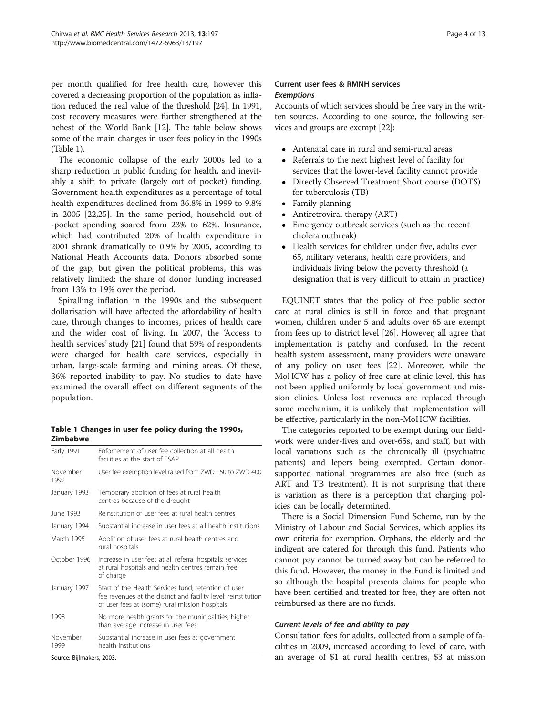per month qualified for free health care, however this covered a decreasing proportion of the population as inflation reduced the real value of the threshold [\[24\]](#page-12-0). In 1991, cost recovery measures were further strengthened at the behest of the World Bank [[12](#page-11-0)]. The table below shows some of the main changes in user fees policy in the 1990s (Table 1).

The economic collapse of the early 2000s led to a sharp reduction in public funding for health, and inevitably a shift to private (largely out of pocket) funding. Government health expenditures as a percentage of total health expenditures declined from 36.8% in 1999 to 9.8% in 2005 [\[22,25\]](#page-12-0). In the same period, household out-of -pocket spending soared from 23% to 62%. Insurance, which had contributed 20% of health expenditure in 2001 shrank dramatically to 0.9% by 2005, according to National Heath Accounts data. Donors absorbed some of the gap, but given the political problems, this was relatively limited: the share of donor funding increased from 13% to 19% over the period.

Spiralling inflation in the 1990s and the subsequent dollarisation will have affected the affordability of health care, through changes to incomes, prices of health care and the wider cost of living. In 2007, the 'Access to health services' study [[21\]](#page-12-0) found that 59% of respondents were charged for health care services, especially in urban, large-scale farming and mining areas. Of these, 36% reported inability to pay. No studies to date have examined the overall effect on different segments of the population.

Table 1 Changes in user fee policy during the 1990s, Zimbabwe

| Early 1991       | Enforcement of user fee collection at all health<br>facilities at the start of ESAP                                                                                      |  |  |
|------------------|--------------------------------------------------------------------------------------------------------------------------------------------------------------------------|--|--|
| November<br>1992 | User fee exemption level raised from ZWD 150 to ZWD 400                                                                                                                  |  |  |
| January 1993     | Temporary abolition of fees at rural health<br>centres because of the drought                                                                                            |  |  |
| June 1993        | Reinstitution of user fees at rural health centres                                                                                                                       |  |  |
| January 1994     | Substantial increase in user fees at all health institutions                                                                                                             |  |  |
| March 1995       | Abolition of user fees at rural health centres and<br>rural hospitals                                                                                                    |  |  |
| October 1996     | Increase in user fees at all referral hospitals: services<br>at rural hospitals and health centres remain free<br>of charge                                              |  |  |
| January 1997     | Start of the Health Services fund; retention of user<br>fee revenues at the district and facility level: reinstitution<br>of user fees at (some) rural mission hospitals |  |  |
| 1998             | No more health grants for the municipalities; higher<br>than average increase in user fees                                                                               |  |  |
| November<br>1999 | Substantial increase in user fees at government<br>health institutions                                                                                                   |  |  |

Source: Bijlmakers, 2003.

## Current user fees & RMNH services **Exemptions**

Accounts of which services should be free vary in the written sources. According to one source, the following services and groups are exempt [\[22\]](#page-12-0):

- Antenatal care in rural and semi-rural areas
- Referrals to the next highest level of facility for services that the lower-level facility cannot provide
- Directly Observed Treatment Short course (DOTS) for tuberculosis (TB)
- Family planning
- Antiretroviral therapy (ART)
- Emergency outbreak services (such as the recent cholera outbreak)
- Health services for children under five, adults over 65, military veterans, health care providers, and individuals living below the poverty threshold (a designation that is very difficult to attain in practice)

EQUINET states that the policy of free public sector care at rural clinics is still in force and that pregnant women, children under 5 and adults over 65 are exempt from fees up to district level [[26\]](#page-12-0). However, all agree that implementation is patchy and confused. In the recent health system assessment, many providers were unaware of any policy on user fees [\[22\]](#page-12-0). Moreover, while the MoHCW has a policy of free care at clinic level, this has not been applied uniformly by local government and mission clinics. Unless lost revenues are replaced through some mechanism, it is unlikely that implementation will be effective, particularly in the non-MoHCW facilities.

The categories reported to be exempt during our fieldwork were under-fives and over-65s, and staff, but with local variations such as the chronically ill (psychiatric patients) and lepers being exempted. Certain donorsupported national programmes are also free (such as ART and TB treatment). It is not surprising that there is variation as there is a perception that charging policies can be locally determined.

There is a Social Dimension Fund Scheme, run by the Ministry of Labour and Social Services, which applies its own criteria for exemption. Orphans, the elderly and the indigent are catered for through this fund. Patients who cannot pay cannot be turned away but can be referred to this fund. However, the money in the Fund is limited and so although the hospital presents claims for people who have been certified and treated for free, they are often not reimbursed as there are no funds.

## Current levels of fee and ability to pay

Consultation fees for adults, collected from a sample of facilities in 2009, increased according to level of care, with an average of \$1 at rural health centres, \$3 at mission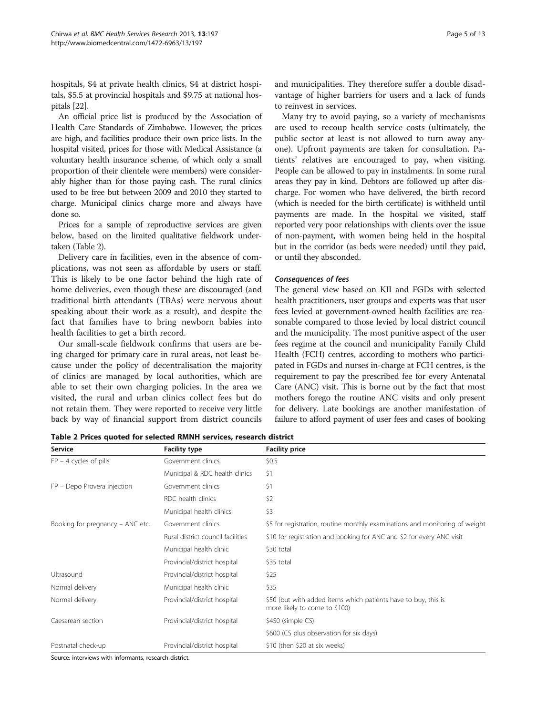hospitals, \$4 at private health clinics, \$4 at district hospitals, \$5.5 at provincial hospitals and \$9.75 at national hospitals [[22](#page-12-0)].

An official price list is produced by the Association of Health Care Standards of Zimbabwe. However, the prices are high, and facilities produce their own price lists. In the hospital visited, prices for those with Medical Assistance (a voluntary health insurance scheme, of which only a small proportion of their clientele were members) were considerably higher than for those paying cash. The rural clinics used to be free but between 2009 and 2010 they started to charge. Municipal clinics charge more and always have done so.

Prices for a sample of reproductive services are given below, based on the limited qualitative fieldwork undertaken (Table 2).

Delivery care in facilities, even in the absence of complications, was not seen as affordable by users or staff. This is likely to be one factor behind the high rate of home deliveries, even though these are discouraged (and traditional birth attendants (TBAs) were nervous about speaking about their work as a result), and despite the fact that families have to bring newborn babies into health facilities to get a birth record.

Our small-scale fieldwork confirms that users are being charged for primary care in rural areas, not least because under the policy of decentralisation the majority of clinics are managed by local authorities, which are able to set their own charging policies. In the area we visited, the rural and urban clinics collect fees but do not retain them. They were reported to receive very little back by way of financial support from district councils

and municipalities. They therefore suffer a double disadvantage of higher barriers for users and a lack of funds to reinvest in services.

Many try to avoid paying, so a variety of mechanisms are used to recoup health service costs (ultimately, the public sector at least is not allowed to turn away anyone). Upfront payments are taken for consultation. Patients' relatives are encouraged to pay, when visiting. People can be allowed to pay in instalments. In some rural areas they pay in kind. Debtors are followed up after discharge. For women who have delivered, the birth record (which is needed for the birth certificate) is withheld until payments are made. In the hospital we visited, staff reported very poor relationships with clients over the issue of non-payment, with women being held in the hospital but in the corridor (as beds were needed) until they paid, or until they absconded.

## Consequences of fees

The general view based on KII and FGDs with selected health practitioners, user groups and experts was that user fees levied at government-owned health facilities are reasonable compared to those levied by local district council and the municipality. The most punitive aspect of the user fees regime at the council and municipality Family Child Health (FCH) centres, according to mothers who participated in FGDs and nurses in-charge at FCH centres, is the requirement to pay the prescribed fee for every Antenatal Care (ANC) visit. This is borne out by the fact that most mothers forego the routine ANC visits and only present for delivery. Late bookings are another manifestation of failure to afford payment of user fees and cases of booking

| <b>Service</b>                   | <b>Facility type</b>              | <b>Facility price</b>                                                                           |  |
|----------------------------------|-----------------------------------|-------------------------------------------------------------------------------------------------|--|
| $FP - 4$ cycles of pills         | Government clinics                | \$0.5                                                                                           |  |
|                                  | Municipal & RDC health clinics    | \$1                                                                                             |  |
| FP - Depo Provera injection      | Government clinics                | \$1                                                                                             |  |
|                                  | RDC health clinics                | \$2                                                                                             |  |
|                                  | Municipal health clinics          | \$3                                                                                             |  |
| Booking for pregnancy - ANC etc. | Government clinics                | \$5 for registration, routine monthly examinations and monitoring of weight                     |  |
|                                  | Rural district council facilities | \$10 for registration and booking for ANC and \$2 for every ANC visit                           |  |
|                                  | Municipal health clinic           | \$30 total                                                                                      |  |
|                                  | Provincial/district hospital      | \$35 total                                                                                      |  |
| Ultrasound                       | Provincial/district hospital      | \$25                                                                                            |  |
| Normal delivery                  | Municipal health clinic           | \$35                                                                                            |  |
| Normal delivery                  | Provincial/district hospital      | \$50 (but with added items which patients have to buy, this is<br>more likely to come to \$100) |  |
| Caesarean section                | Provincial/district hospital      | \$450 (simple CS)                                                                               |  |
|                                  |                                   | \$600 (CS plus observation for six days)                                                        |  |
| Postnatal check-up               | Provincial/district hospital      | \$10 (then \$20 at six weeks)                                                                   |  |

Table 2 Prices quoted for selected RMNH services, research district

Source: interviews with informants, research district.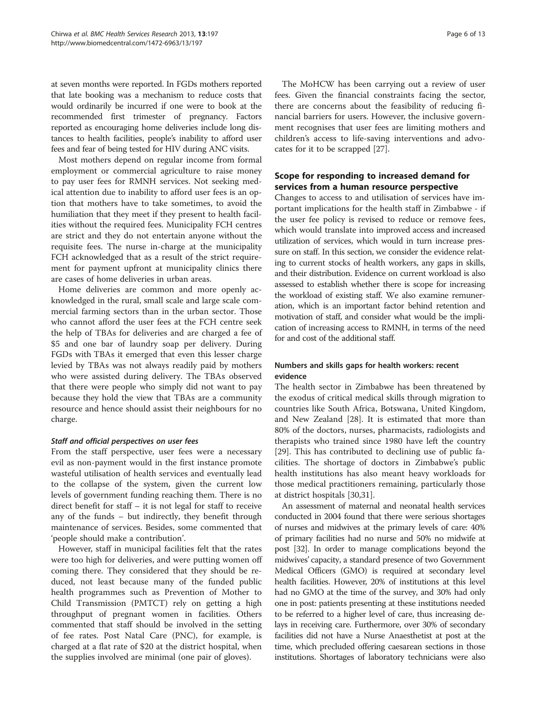at seven months were reported. In FGDs mothers reported that late booking was a mechanism to reduce costs that would ordinarily be incurred if one were to book at the recommended first trimester of pregnancy. Factors reported as encouraging home deliveries include long distances to health facilities, people's inability to afford user fees and fear of being tested for HIV during ANC visits.

Most mothers depend on regular income from formal employment or commercial agriculture to raise money to pay user fees for RMNH services. Not seeking medical attention due to inability to afford user fees is an option that mothers have to take sometimes, to avoid the humiliation that they meet if they present to health facilities without the required fees. Municipality FCH centres are strict and they do not entertain anyone without the requisite fees. The nurse in-charge at the municipality FCH acknowledged that as a result of the strict requirement for payment upfront at municipality clinics there are cases of home deliveries in urban areas.

Home deliveries are common and more openly acknowledged in the rural, small scale and large scale commercial farming sectors than in the urban sector. Those who cannot afford the user fees at the FCH centre seek the help of TBAs for deliveries and are charged a fee of \$5 and one bar of laundry soap per delivery. During FGDs with TBAs it emerged that even this lesser charge levied by TBAs was not always readily paid by mothers who were assisted during delivery. The TBAs observed that there were people who simply did not want to pay because they hold the view that TBAs are a community resource and hence should assist their neighbours for no charge.

## Staff and official perspectives on user fees

From the staff perspective, user fees were a necessary evil as non-payment would in the first instance promote wasteful utilisation of health services and eventually lead to the collapse of the system, given the current low levels of government funding reaching them. There is no direct benefit for staff – it is not legal for staff to receive any of the funds – but indirectly, they benefit through maintenance of services. Besides, some commented that 'people should make a contribution'.

However, staff in municipal facilities felt that the rates were too high for deliveries, and were putting women off coming there. They considered that they should be reduced, not least because many of the funded public health programmes such as Prevention of Mother to Child Transmission (PMTCT) rely on getting a high throughput of pregnant women in facilities. Others commented that staff should be involved in the setting of fee rates. Post Natal Care (PNC), for example, is charged at a flat rate of \$20 at the district hospital, when the supplies involved are minimal (one pair of gloves).

The MoHCW has been carrying out a review of user fees. Given the financial constraints facing the sector, there are concerns about the feasibility of reducing financial barriers for users. However, the inclusive government recognises that user fees are limiting mothers and children's access to life-saving interventions and advocates for it to be scrapped [\[27\]](#page-12-0).

## Scope for responding to increased demand for services from a human resource perspective

Changes to access to and utilisation of services have important implications for the health staff in Zimbabwe - if the user fee policy is revised to reduce or remove fees, which would translate into improved access and increased utilization of services, which would in turn increase pressure on staff. In this section, we consider the evidence relating to current stocks of health workers, any gaps in skills, and their distribution. Evidence on current workload is also assessed to establish whether there is scope for increasing the workload of existing staff. We also examine remuneration, which is an important factor behind retention and motivation of staff, and consider what would be the implication of increasing access to RMNH, in terms of the need for and cost of the additional staff.

## Numbers and skills gaps for health workers: recent evidence

The health sector in Zimbabwe has been threatened by the exodus of critical medical skills through migration to countries like South Africa, Botswana, United Kingdom, and New Zealand [[28\]](#page-12-0). It is estimated that more than 80% of the doctors, nurses, pharmacists, radiologists and therapists who trained since 1980 have left the country [[29\]](#page-12-0). This has contributed to declining use of public facilities. The shortage of doctors in Zimbabwe's public health institutions has also meant heavy workloads for those medical practitioners remaining, particularly those at district hospitals [[30](#page-12-0),[31\]](#page-12-0).

An assessment of maternal and neonatal health services conducted in 2004 found that there were serious shortages of nurses and midwives at the primary levels of care: 40% of primary facilities had no nurse and 50% no midwife at post [[32](#page-12-0)]. In order to manage complications beyond the midwives' capacity, a standard presence of two Government Medical Officers (GMO) is required at secondary level health facilities. However, 20% of institutions at this level had no GMO at the time of the survey, and 30% had only one in post: patients presenting at these institutions needed to be referred to a higher level of care, thus increasing delays in receiving care. Furthermore, over 30% of secondary facilities did not have a Nurse Anaesthetist at post at the time, which precluded offering caesarean sections in those institutions. Shortages of laboratory technicians were also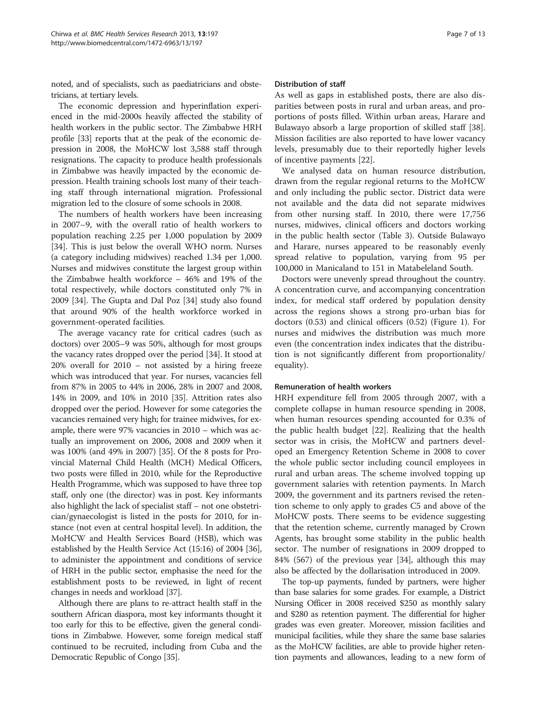noted, and of specialists, such as paediatricians and obstetricians, at tertiary levels.

The economic depression and hyperinflation experienced in the mid-2000s heavily affected the stability of health workers in the public sector. The Zimbabwe HRH profile [\[33\]](#page-12-0) reports that at the peak of the economic depression in 2008, the MoHCW lost 3,588 staff through resignations. The capacity to produce health professionals in Zimbabwe was heavily impacted by the economic depression. Health training schools lost many of their teaching staff through international migration. Professional migration led to the closure of some schools in 2008.

The numbers of health workers have been increasing in 2007–9, with the overall ratio of health workers to population reaching 2.25 per 1,000 population by 2009 [[34\]](#page-12-0). This is just below the overall WHO norm. Nurses (a category including midwives) reached 1.34 per 1,000. Nurses and midwives constitute the largest group within the Zimbabwe health workforce – 46% and 19% of the total respectively, while doctors constituted only 7% in 2009 [[34\]](#page-12-0). The Gupta and Dal Poz [\[34\]](#page-12-0) study also found that around 90% of the health workforce worked in government-operated facilities.

The average vacancy rate for critical cadres (such as doctors) over 2005–9 was 50%, although for most groups the vacancy rates dropped over the period [[34](#page-12-0)]. It stood at 20% overall for 2010 – not assisted by a hiring freeze which was introduced that year. For nurses, vacancies fell from 87% in 2005 to 44% in 2006, 28% in 2007 and 2008, 14% in 2009, and 10% in 2010 [\[35](#page-12-0)]. Attrition rates also dropped over the period. However for some categories the vacancies remained very high; for trainee midwives, for example, there were 97% vacancies in 2010 – which was actually an improvement on 2006, 2008 and 2009 when it was 100% (and 49% in 2007) [\[35\]](#page-12-0). Of the 8 posts for Provincial Maternal Child Health (MCH) Medical Officers, two posts were filled in 2010, while for the Reproductive Health Programme, which was supposed to have three top staff, only one (the director) was in post. Key informants also highlight the lack of specialist staff – not one obstetrician/gynaecologist is listed in the posts for 2010, for instance (not even at central hospital level). In addition, the MoHCW and Health Services Board (HSB), which was established by the Health Service Act (15:16) of 2004 [[36](#page-12-0)], to administer the appointment and conditions of service of HRH in the public sector, emphasise the need for the establishment posts to be reviewed, in light of recent changes in needs and workload [\[37\]](#page-12-0).

Although there are plans to re-attract health staff in the southern African diaspora, most key informants thought it too early for this to be effective, given the general conditions in Zimbabwe. However, some foreign medical staff continued to be recruited, including from Cuba and the Democratic Republic of Congo [[35](#page-12-0)].

## Distribution of staff

As well as gaps in established posts, there are also disparities between posts in rural and urban areas, and proportions of posts filled. Within urban areas, Harare and Bulawayo absorb a large proportion of skilled staff [\[38](#page-12-0)]. Mission facilities are also reported to have lower vacancy levels, presumably due to their reportedly higher levels of incentive payments [[22](#page-12-0)].

We analysed data on human resource distribution, drawn from the regular regional returns to the MoHCW and only including the public sector. District data were not available and the data did not separate midwives from other nursing staff. In 2010, there were 17,756 nurses, midwives, clinical officers and doctors working in the public health sector (Table [3](#page-7-0)). Outside Bulawayo and Harare, nurses appeared to be reasonably evenly spread relative to population, varying from 95 per 100,000 in Manicaland to 151 in Matabeleland South.

Doctors were unevenly spread throughout the country. A concentration curve, and accompanying concentration index, for medical staff ordered by population density across the regions shows a strong pro-urban bias for doctors (0.53) and clinical officers (0.52) (Figure [1\)](#page-7-0). For nurses and midwives the distribution was much more even (the concentration index indicates that the distribution is not significantly different from proportionality/ equality).

## Remuneration of health workers

HRH expenditure fell from 2005 through 2007, with a complete collapse in human resource spending in 2008, when human resources spending accounted for 0.3% of the public health budget [[22\]](#page-12-0). Realizing that the health sector was in crisis, the MoHCW and partners developed an Emergency Retention Scheme in 2008 to cover the whole public sector including council employees in rural and urban areas. The scheme involved topping up government salaries with retention payments. In March 2009, the government and its partners revised the retention scheme to only apply to grades C5 and above of the MoHCW posts. There seems to be evidence suggesting that the retention scheme, currently managed by Crown Agents, has brought some stability in the public health sector. The number of resignations in 2009 dropped to 84% (567) of the previous year [\[34\]](#page-12-0), although this may also be affected by the dollarisation introduced in 2009.

The top-up payments, funded by partners, were higher than base salaries for some grades. For example, a District Nursing Officer in 2008 received \$250 as monthly salary and \$280 as retention payment. The differential for higher grades was even greater. Moreover, mission facilities and municipal facilities, while they share the same base salaries as the MoHCW facilities, are able to provide higher retention payments and allowances, leading to a new form of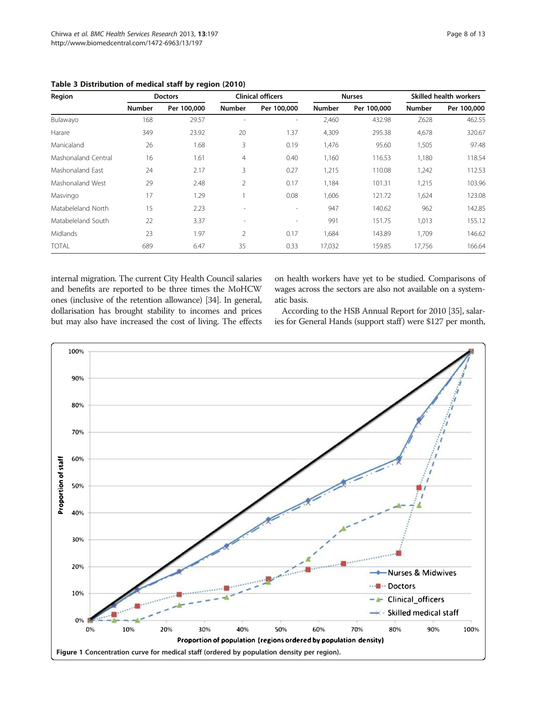| Region              | <b>Doctors</b> |             | <b>Clinical officers</b> |                          | <b>Nurses</b> |             | <b>Skilled health workers</b> |             |
|---------------------|----------------|-------------|--------------------------|--------------------------|---------------|-------------|-------------------------------|-------------|
|                     | <b>Number</b>  | Per 100,000 | <b>Number</b>            | Per 100,000              | <b>Number</b> | Per 100,000 | <b>Number</b>                 | Per 100,000 |
| Bulawayo            | 168            | 29.57       | ٠                        | $\sim$                   | 2,460         | 432.98      | Z628                          | 462.55      |
| Harare              | 349            | 23.92       | 20                       | 1.37                     | 4,309         | 295.38      | 4,678                         | 320.67      |
| Manicaland          | 26             | 1.68        | 3                        | 0.19                     | 1,476         | 95.60       | 1,505                         | 97.48       |
| Mashonaland Central | 16             | 1.61        | $\overline{4}$           | 0.40                     | 1,160         | 116.53      | 1,180                         | 118.54      |
| Mashonaland East    | 24             | 2.17        | 3                        | 0.27                     | 1,215         | 110.08      | 1,242                         | 112.53      |
| Mashonaland West    | 29             | 2.48        | $\overline{2}$           | 0.17                     | 1,184         | 101.31      | 1,215                         | 103.96      |
| Masvingo            | 17             | 1.29        |                          | 0.08                     | 1,606         | 121.72      | 1,624                         | 123.08      |
| Matabeleland North  | 15             | 2.23        | ٠                        | $\overline{\phantom{a}}$ | 947           | 140.62      | 962                           | 142.85      |
| Matabeleland South  | 22             | 3.37        | ٠                        | $\overline{\phantom{a}}$ | 991           | 151.75      | 1,013                         | 155.12      |
| <b>Midlands</b>     | 23             | 1.97        | $\overline{2}$           | 0.17                     | 1,684         | 143.89      | 1,709                         | 146.62      |
| <b>TOTAL</b>        | 689            | 6.47        | 35                       | 0.33                     | 17,032        | 159.85      | 17,756                        | 166.64      |

<span id="page-7-0"></span>Table 3 Distribution of medical staff by region (2010)

internal migration. The current City Health Council salaries and benefits are reported to be three times the MoHCW ones (inclusive of the retention allowance) [\[34](#page-12-0)]. In general, dollarisation has brought stability to incomes and prices but may also have increased the cost of living. The effects on health workers have yet to be studied. Comparisons of wages across the sectors are also not available on a systematic basis.

According to the HSB Annual Report for 2010 [\[35\]](#page-12-0), salaries for General Hands (support staff) were \$127 per month,

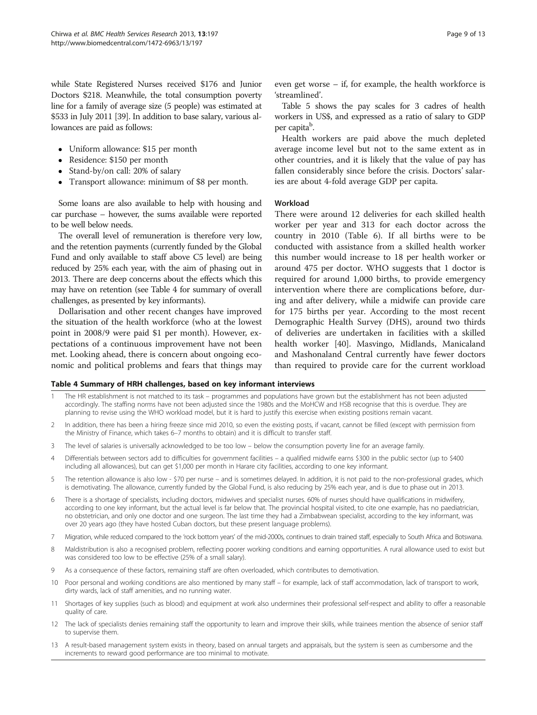while State Registered Nurses received \$176 and Junior Doctors \$218. Meanwhile, the total consumption poverty line for a family of average size (5 people) was estimated at \$533 in July 2011 [\[39\]](#page-12-0). In addition to base salary, various allowances are paid as follows:

- Uniform allowance: \$15 per month
- Residence: \$150 per month
- Stand-by/on call: 20% of salary
- Transport allowance: minimum of \$8 per month.

Some loans are also available to help with housing and car purchase – however, the sums available were reported to be well below needs.

The overall level of remuneration is therefore very low, and the retention payments (currently funded by the Global Fund and only available to staff above C5 level) are being reduced by 25% each year, with the aim of phasing out in 2013. There are deep concerns about the effects which this may have on retention (see Table 4 for summary of overall challenges, as presented by key informants).

Dollarisation and other recent changes have improved the situation of the health workforce (who at the lowest point in 2008/9 were paid \$1 per month). However, expectations of a continuous improvement have not been met. Looking ahead, there is concern about ongoing economic and political problems and fears that things may

Table [5](#page-9-0) shows the pay scales for 3 cadres of health workers in US\$, and expressed as a ratio of salary to GDP per capita<sup>b</sup>.

Health workers are paid above the much depleted average income level but not to the same extent as in other countries, and it is likely that the value of pay has fallen considerably since before the crisis. Doctors' salaries are about 4-fold average GDP per capita.

## Workload

There were around 12 deliveries for each skilled health worker per year and 313 for each doctor across the country in 2010 (Table [6](#page-9-0)). If all births were to be conducted with assistance from a skilled health worker this number would increase to 18 per health worker or around 475 per doctor. WHO suggests that 1 doctor is required for around 1,000 births, to provide emergency intervention where there are complications before, during and after delivery, while a midwife can provide care for 175 births per year. According to the most recent Demographic Health Survey (DHS), around two thirds of deliveries are undertaken in facilities with a skilled health worker [\[40](#page-12-0)]. Masvingo, Midlands, Manicaland and Mashonaland Central currently have fewer doctors than required to provide care for the current workload

## Table 4 Summary of HRH challenges, based on key informant interviews

- 1 The HR establishment is not matched to its task programmes and populations have grown but the establishment has not been adjusted accordingly. The staffing norms have not been adjusted since the 1980s and the MoHCW and HSB recognise that this is overdue. They are planning to revise using the WHO workload model, but it is hard to justify this exercise when existing positions remain vacant.
- 2 In addition, there has been a hiring freeze since mid 2010, so even the existing posts, if vacant, cannot be filled (except with permission from the Ministry of Finance, which takes 6–7 months to obtain) and it is difficult to transfer staff.
- 3 The level of salaries is universally acknowledged to be too low below the consumption poverty line for an average family.
- 4 Differentials between sectors add to difficulties for government facilities a qualified midwife earns \$300 in the public sector (up to \$400 including all allowances), but can get \$1,000 per month in Harare city facilities, according to one key informant.
- 5 The retention allowance is also low \$70 per nurse and is sometimes delayed. In addition, it is not paid to the non-professional grades, which is demotivating. The allowance, currently funded by the Global Fund, is also reducing by 25% each year, and is due to phase out in 2013.
- 6 There is a shortage of specialists, including doctors, midwives and specialist nurses. 60% of nurses should have qualifications in midwifery, according to one key informant, but the actual level is far below that. The provincial hospital visited, to cite one example, has no paediatrician, no obstetrician, and only one doctor and one surgeon. The last time they had a Zimbabwean specialist, according to the key informant, was over 20 years ago (they have hosted Cuban doctors, but these present language problems).
- 7 Migration, while reduced compared to the 'rock bottom years' of the mid-2000s, continues to drain trained staff, especially to South Africa and Botswana.
- 8 Maldistribution is also a recognised problem, reflecting poorer working conditions and earning opportunities. A rural allowance used to exist but was considered too low to be effective (25% of a small salary).
- 9 As a consequence of these factors, remaining staff are often overloaded, which contributes to demotivation.
- 10 Poor personal and working conditions are also mentioned by many staff for example, lack of staff accommodation, lack of transport to work, dirty wards, lack of staff amenities, and no running water.
- 11 Shortages of key supplies (such as blood) and equipment at work also undermines their professional self-respect and ability to offer a reasonable quality of care.
- 12 The lack of specialists denies remaining staff the opportunity to learn and improve their skills, while trainees mention the absence of senior staff to supervise them.
- 13 A result-based management system exists in theory, based on annual targets and appraisals, but the system is seen as cumbersome and the increments to reward good performance are too minimal to motivate.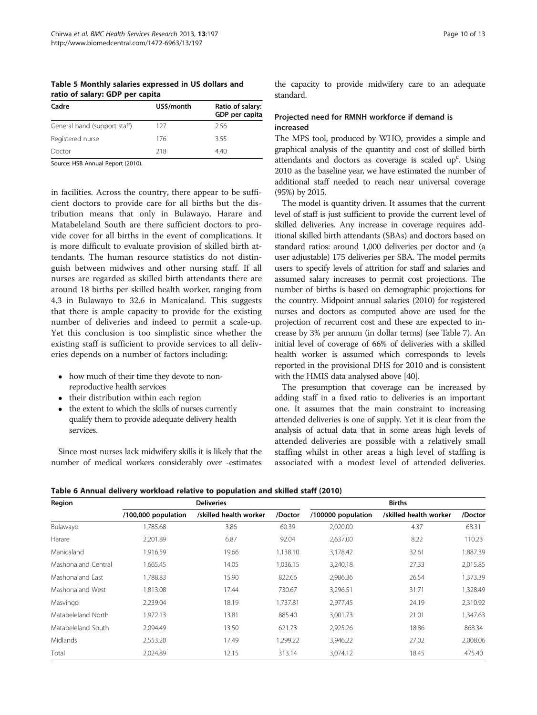| Cadre                        | US\$/month | Ratio of salary:<br>GDP per capita |
|------------------------------|------------|------------------------------------|
| General hand (support staff) | 127        | 2.56                               |
| Registered nurse             | 176        | 3.55                               |
| Doctor                       | 218        | 440                                |

<span id="page-9-0"></span>Table 5 Monthly salaries expressed in US dollars and ratio of salary: GDP per capita

Source: HSB Annual Report (2010).

in facilities. Across the country, there appear to be sufficient doctors to provide care for all births but the distribution means that only in Bulawayo, Harare and Matabeleland South are there sufficient doctors to provide cover for all births in the event of complications. It is more difficult to evaluate provision of skilled birth attendants. The human resource statistics do not distinguish between midwives and other nursing staff. If all nurses are regarded as skilled birth attendants there are around 18 births per skilled health worker, ranging from 4.3 in Bulawayo to 32.6 in Manicaland. This suggests that there is ample capacity to provide for the existing number of deliveries and indeed to permit a scale-up. Yet this conclusion is too simplistic since whether the existing staff is sufficient to provide services to all deliveries depends on a number of factors including:

- how much of their time they devote to nonreproductive health services
- their distribution within each region
- the extent to which the skills of nurses currently qualify them to provide adequate delivery health services.

Since most nurses lack midwifery skills it is likely that the number of medical workers considerably over -estimates the capacity to provide midwifery care to an adequate standard.

## Projected need for RMNH workforce if demand is increased

The MPS tool, produced by WHO, provides a simple and graphical analysis of the quantity and cost of skilled birth attendants and doctors as coverage is scaled up<sup>c</sup>. Using 2010 as the baseline year, we have estimated the number of additional staff needed to reach near universal coverage (95%) by 2015.

The model is quantity driven. It assumes that the current level of staff is just sufficient to provide the current level of skilled deliveries. Any increase in coverage requires additional skilled birth attendants (SBAs) and doctors based on standard ratios: around 1,000 deliveries per doctor and (a user adjustable) 175 deliveries per SBA. The model permits users to specify levels of attrition for staff and salaries and assumed salary increases to permit cost projections. The number of births is based on demographic projections for the country. Midpoint annual salaries (2010) for registered nurses and doctors as computed above are used for the projection of recurrent cost and these are expected to increase by 3% per annum (in dollar terms) (see Table [7](#page-10-0)). An initial level of coverage of 66% of deliveries with a skilled health worker is assumed which corresponds to levels reported in the provisional DHS for 2010 and is consistent with the HMIS data analysed above [\[40\]](#page-12-0).

The presumption that coverage can be increased by adding staff in a fixed ratio to deliveries is an important one. It assumes that the main constraint to increasing attended deliveries is one of supply. Yet it is clear from the analysis of actual data that in some areas high levels of attended deliveries are possible with a relatively small staffing whilst in other areas a high level of staffing is associated with a modest level of attended deliveries.

| Region              |                     | <b>Deliveries</b>      | <b>Births</b> |                    |                        |          |
|---------------------|---------------------|------------------------|---------------|--------------------|------------------------|----------|
|                     | /100,000 population | /skilled health worker | /Doctor       | /100000 population | /skilled health worker | /Doctor  |
| Bulawayo            | 1,785.68            | 3.86                   | 60.39         | 2,020.00           | 4.37                   | 68.31    |
| Harare              | 2,201.89            | 6.87                   | 92.04         | 2,637.00           | 8.22                   | 110.23   |
| Manicaland          | 1,916.59            | 19.66                  | 1,138.10      | 3,178.42           | 32.61                  | 1,887.39 |
| Mashonaland Central | 1,665.45            | 14.05                  | 1,036.15      | 3,240.18           | 27.33                  | 2,015.85 |
| Mashonaland East    | 1,788.83            | 15.90                  | 822.66        | 2,986.36           | 26.54                  | 1,373.39 |
| Mashonaland West    | 1,813.08            | 17.44                  | 730.67        | 3,296.51           | 31.71                  | 1,328.49 |
| Masvingo            | 2.239.04            | 18.19                  | 1.737.81      | 2,977.45           | 24.19                  | 2,310.92 |
| Matabeleland North  | 1,972.13            | 13.81                  | 885.40        | 3,001.73           | 21.01                  | 1,347.63 |
| Matabeleland South  | 2.094.49            | 13.50                  | 621.73        | 2,925.26           | 18.86                  | 868.34   |
| <b>Midlands</b>     | 2,553.20            | 17.49                  | 1,299.22      | 3,946.22           | 27.02                  | 2,008.06 |
| Total               | 2,024.89            | 12.15                  | 313.14        | 3,074.12           | 18.45                  | 475.40   |

Table 6 Annual delivery workload relative to population and skilled staff (2010)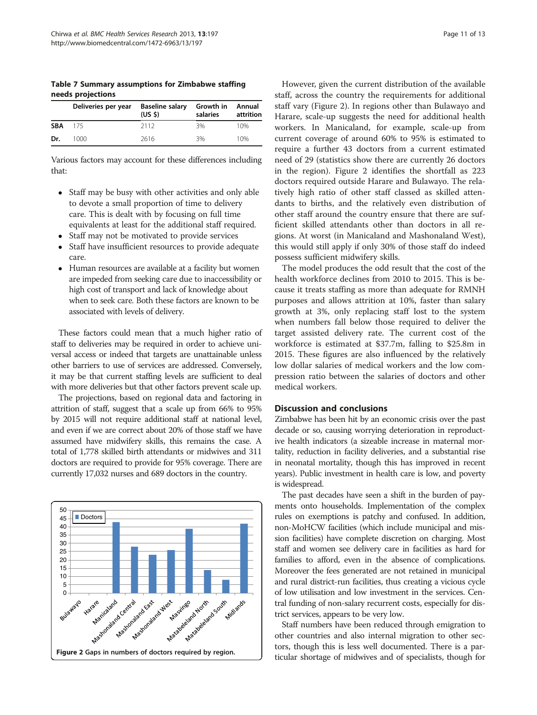<span id="page-10-0"></span>Table 7 Summary assumptions for Zimbabwe staffing needs projections

|            | Deliveries per year | <b>Baseline salary</b><br>(US S) | Growth in<br>salaries | Annual<br>attrition |
|------------|---------------------|----------------------------------|-----------------------|---------------------|
| <b>SBA</b> | 175                 | 2112                             | 3%                    | 10%                 |
| Dr.        | 1000                | 2616                             | 3%                    | 10%                 |

Various factors may account for these differences including that:

- Staff may be busy with other activities and only able to devote a small proportion of time to delivery care. This is dealt with by focusing on full time equivalents at least for the additional staff required.
- Staff may not be motivated to provide services
- Staff have insufficient resources to provide adequate care.
- Human resources are available at a facility but women are impeded from seeking care due to inaccessibility or high cost of transport and lack of knowledge about when to seek care. Both these factors are known to be associated with levels of delivery.

These factors could mean that a much higher ratio of staff to deliveries may be required in order to achieve universal access or indeed that targets are unattainable unless other barriers to use of services are addressed. Conversely, it may be that current staffing levels are sufficient to deal with more deliveries but that other factors prevent scale up.

The projections, based on regional data and factoring in attrition of staff, suggest that a scale up from 66% to 95% by 2015 will not require additional staff at national level, and even if we are correct about 20% of those staff we have assumed have midwifery skills, this remains the case. A total of 1,778 skilled birth attendants or midwives and 311 doctors are required to provide for 95% coverage. There are currently 17,032 nurses and 689 doctors in the country.



However, given the current distribution of the available staff, across the country the requirements for additional staff vary (Figure 2). In regions other than Bulawayo and Harare, scale-up suggests the need for additional health workers. In Manicaland, for example, scale-up from current coverage of around 60% to 95% is estimated to require a further 43 doctors from a current estimated need of 29 (statistics show there are currently 26 doctors in the region). Figure 2 identifies the shortfall as 223 doctors required outside Harare and Bulawayo. The relatively high ratio of other staff classed as skilled attendants to births, and the relatively even distribution of other staff around the country ensure that there are sufficient skilled attendants other than doctors in all regions. At worst (in Manicaland and Mashonaland West), this would still apply if only 30% of those staff do indeed possess sufficient midwifery skills.

The model produces the odd result that the cost of the health workforce declines from 2010 to 2015. This is because it treats staffing as more than adequate for RMNH purposes and allows attrition at 10%, faster than salary growth at 3%, only replacing staff lost to the system when numbers fall below those required to deliver the target assisted delivery rate. The current cost of the workforce is estimated at \$37.7m, falling to \$25.8m in 2015. These figures are also influenced by the relatively low dollar salaries of medical workers and the low compression ratio between the salaries of doctors and other medical workers.

## Discussion and conclusions

Zimbabwe has been hit by an economic crisis over the past decade or so, causing worrying deterioration in reproductive health indicators (a sizeable increase in maternal mortality, reduction in facility deliveries, and a substantial rise in neonatal mortality, though this has improved in recent years). Public investment in health care is low, and poverty is widespread.

The past decades have seen a shift in the burden of payments onto households. Implementation of the complex rules on exemptions is patchy and confused. In addition, non-MoHCW facilities (which include municipal and mission facilities) have complete discretion on charging. Most staff and women see delivery care in facilities as hard for families to afford, even in the absence of complications. Moreover the fees generated are not retained in municipal and rural district-run facilities, thus creating a vicious cycle of low utilisation and low investment in the services. Central funding of non-salary recurrent costs, especially for district services, appears to be very low.

Staff numbers have been reduced through emigration to other countries and also internal migration to other sectors, though this is less well documented. There is a particular shortage of midwives and of specialists, though for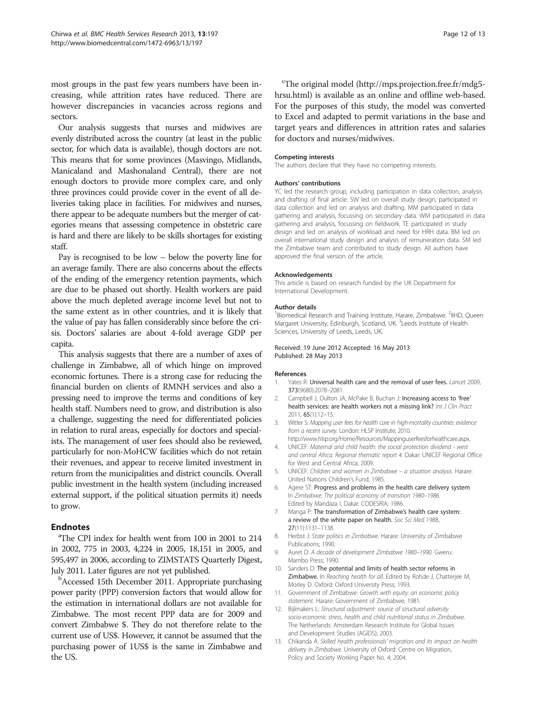<span id="page-11-0"></span>most groups in the past few years numbers have been increasing, while attrition rates have reduced. There are however discrepancies in vacancies across regions and sectors.

Our analysis suggests that nurses and midwives are evenly distributed across the country (at least in the public sector, for which data is available), though doctors are not. This means that for some provinces (Masvingo, Midlands, Manicaland and Mashonaland Central), there are not enough doctors to provide more complex care, and only three provinces could provide cover in the event of all deliveries taking place in facilities. For midwives and nurses, there appear to be adequate numbers but the merger of categories means that assessing competence in obstetric care is hard and there are likely to be skills shortages for existing staff.

Pay is recognised to be low – below the poverty line for an average family. There are also concerns about the effects of the ending of the emergency retention payments, which are due to be phased out shortly. Health workers are paid above the much depleted average income level but not to the same extent as in other countries, and it is likely that the value of pay has fallen considerably since before the crisis. Doctors' salaries are about 4-fold average GDP per capita.

This analysis suggests that there are a number of axes of challenge in Zimbabwe, all of which hinge on improved economic fortunes. There is a strong case for reducing the financial burden on clients of RMNH services and also a pressing need to improve the terms and conditions of key health staff. Numbers need to grow, and distribution is also a challenge, suggesting the need for differentiated policies in relation to rural areas, especially for doctors and specialists. The management of user fees should also be reviewed, particularly for non-MoHCW facilities which do not retain their revenues, and appear to receive limited investment in return from the municipalities and district councils. Overall public investment in the health system (including increased external support, if the political situation permits it) needs to grow.

## **Endnotes**

The CPI index for health went from 100 in 2001 to 214 in 2002, 775 in 2003, 4,224 in 2005, 18,151 in 2005, and 595,497 in 2006, according to ZIMSTATS Quarterly Digest, July 2011. Later figures are not yet published.

<sup>b</sup>Accessed 15th December 2011. Appropriate purchasing power parity (PPP) conversion factors that would allow for the estimation in international dollars are not available for Zimbabwe. The most recent PPP data are for 2009 and convert Zimbabwe \$. They do not therefore relate to the current use of US\$. However, it cannot be assumed that the purchasing power of 1US\$ is the same in Zimbabwe and the US.

<sup>c</sup>The original model [\(http://mps.projection.free.fr/mdg5](http://mps.projection.free.fr/mdg5-hrsu.html) [hrsu.html](http://mps.projection.free.fr/mdg5-hrsu.html)) is available as an online and offline web-based. For the purposes of this study, the model was converted to Excel and adapted to permit variations in the base and target years and differences in attrition rates and salaries for doctors and nurses/midwives.

#### Competing interests

The authors declare that they have no competing interests.

#### Authors' contributions

YC led the research group, including participation in data collection, analysis and drafting of final article. SW led on overall study design, participated in data collection and led on analysis and drafting. MM participated in data gathering and analysis, focussing on secondary data. WM participated in data gathering and analysis, focussing on fieldwork. TE participated in study design and led on analysis of workload and need for HRH data. BM led on overall international study design and analysis of remuneration data. SM led the Zimbabwe team and contributed to study design. All authors have approved the final version of the article.

#### Acknowledgements

This article is based on research funded by the UK Department for International Development.

#### Author details

<sup>1</sup>Biomedical Research and Training Institute, Harare, Zimbabwe. <sup>2</sup>IIHD, Queen Margaret University, Edinburgh, Scotland, UK.<sup>3</sup> Leeds Institute of Health Sciences, University of Leeds, Leeds, UK.

Received: 19 June 2012 Accepted: 16 May 2013 Published: 28 May 2013

#### References

- 1. Yates R: Universal health care and the removal of user fees. Lancet 2009, 373(9680):2078–2081.
- 2. Campbell J, Oulton JA, McPake B, Buchan J: Increasing access to 'free' health services: are health workers not a missing link? Int J Clin Pract 2011, 65(1):12–15.
- 3. Witter S: Mapping user fees for health care in high-mortality countries: evidence from a recent survey. London: HLSP Institute; 2010.
- [http://www.hlsp.org/Home/Resources/Mappinguserfeesforhealthcare.aspx.](http://www.hlsp.org/Home/Resources/Mappinguserfeesforhealthcare.aspx) 4. UNICEF: Maternal and child health: the social protection dividend - west and central Africa. Regional thematic report 4. Dakar: UNICEF Regional Office for West and Central Africa; 2009.
- 5. UNICEF: Children and women in Zimbabwe a situation analysis. Harare: United Nations Children's Fund; 1985.
- 6. Agere ST: Progress and problems in the health care delivery system. In Zimbabwe: The political economy of transition 1980–1986. Edited by Mandaza I. Dakar: CODESRIA; 1986.
- 7. Manga P: The transformation of Zimbabwe's health care system: a review of the white paper on health. Soc Sci Med 1988, 27(11):1131–1138.
- 8. Herbst J: State politics in Zimbabwe. Harare: University of Zimbabwe Publications; 1990.
- 9. Auret D: A decade of development Zimbabwe 1980–1990. Gweru: Mambo Press; 1990.
- 10. Sanders D: The potential and limits of health sector reforms in Zimbabwe. In Reaching health for all. Edited by Rohde J, Chatterjee M, Morley D. Oxford: Oxford University Press; 1993.
- 11. Government of Zimbabwe: Growth with equity: an economic policy statement. Harare: Government of Zimbabwe; 1981.
- 12. Bijlmakers L: Structural adjustment: source of structural adversity socio-economic stress, health and child nutritional status in Zimbabwe. The Netherlands: Amsterdam Research Institute for Global Issues and Development Studies (AGIDS); 2003.
- 13. Chikanda A: Skilled health professionals' migration and its impact on health delivery in Zimbabwe. University of Oxford: Centre on Migration, Policy and Society Working Paper No. 4; 2004.